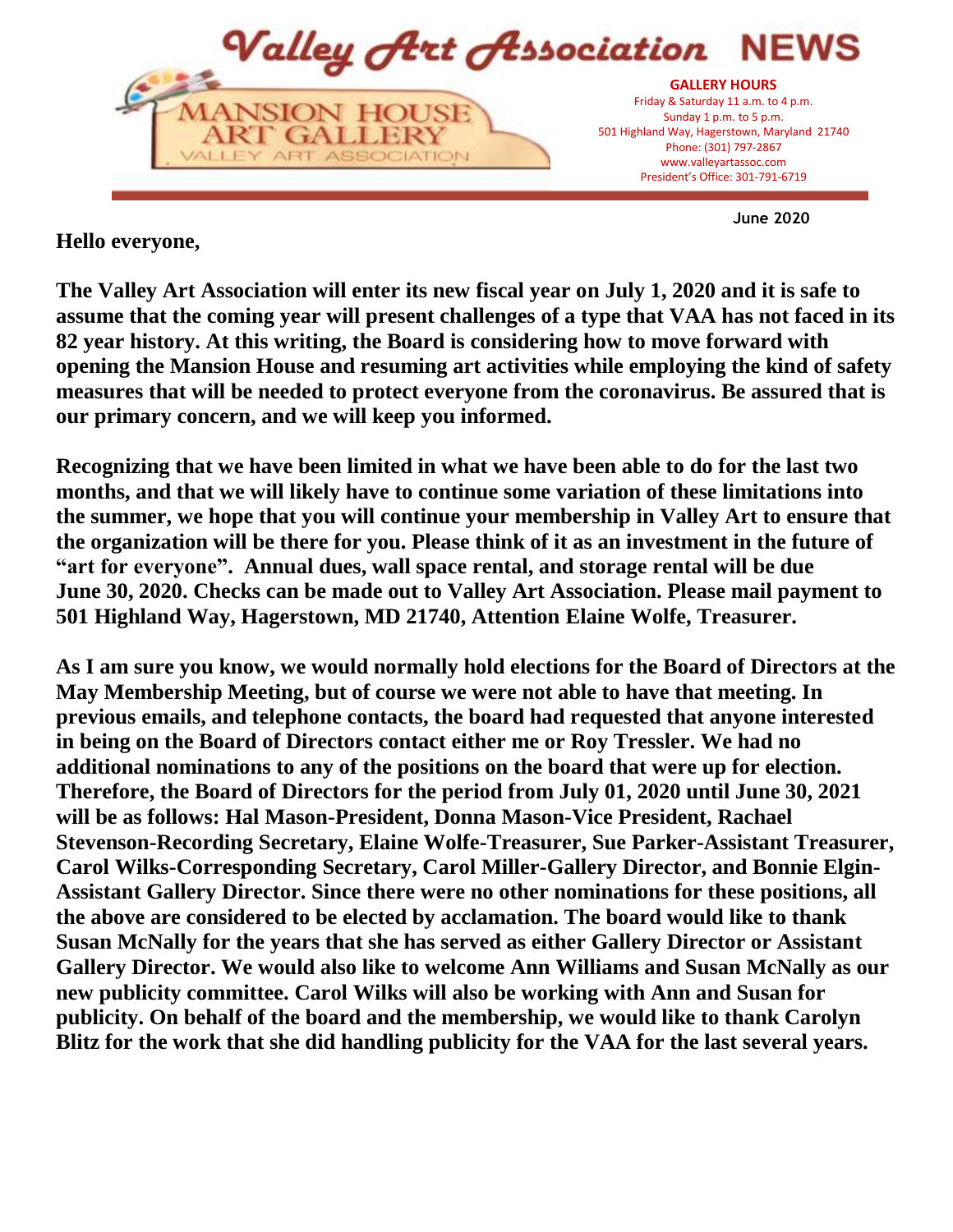

**June 2020**

## **Hello everyone,**

**The Valley Art Association will enter its new fiscal year on July 1, 2020 and it is safe to assume that the coming year will present challenges of a type that VAA has not faced in its 82 year history. At this writing, the Board is considering how to move forward with opening the Mansion House and resuming art activities while employing the kind of safety measures that will be needed to protect everyone from the coronavirus. Be assured that is our primary concern, and we will keep you informed.** 

**Recognizing that we have been limited in what we have been able to do for the last two months, and that we will likely have to continue some variation of these limitations into the summer, we hope that you will continue your membership in Valley Art to ensure that the organization will be there for you. Please think of it as an investment in the future of "art for everyone". Annual dues, wall space rental, and storage rental will be due June 30, 2020. Checks can be made out to Valley Art Association. Please mail payment to 501 Highland Way, Hagerstown, MD 21740, Attention Elaine Wolfe, Treasurer.**

**As I am sure you know, we would normally hold elections for the Board of Directors at the May Membership Meeting, but of course we were not able to have that meeting. In previous emails, and telephone contacts, the board had requested that anyone interested in being on the Board of Directors contact either me or Roy Tressler. We had no additional nominations to any of the positions on the board that were up for election. Therefore, the Board of Directors for the period from July 01, 2020 until June 30, 2021 will be as follows: Hal Mason-President, Donna Mason-Vice President, Rachael Stevenson-Recording Secretary, Elaine Wolfe-Treasurer, Sue Parker-Assistant Treasurer, Carol Wilks-Corresponding Secretary, Carol Miller-Gallery Director, and Bonnie Elgin-Assistant Gallery Director. Since there were no other nominations for these positions, all the above are considered to be elected by acclamation. The board would like to thank Susan McNally for the years that she has served as either Gallery Director or Assistant Gallery Director. We would also like to welcome Ann Williams and Susan McNally as our new publicity committee. Carol Wilks will also be working with Ann and Susan for publicity. On behalf of the board and the membership, we would like to thank Carolyn Blitz for the work that she did handling publicity for the VAA for the last several years.**